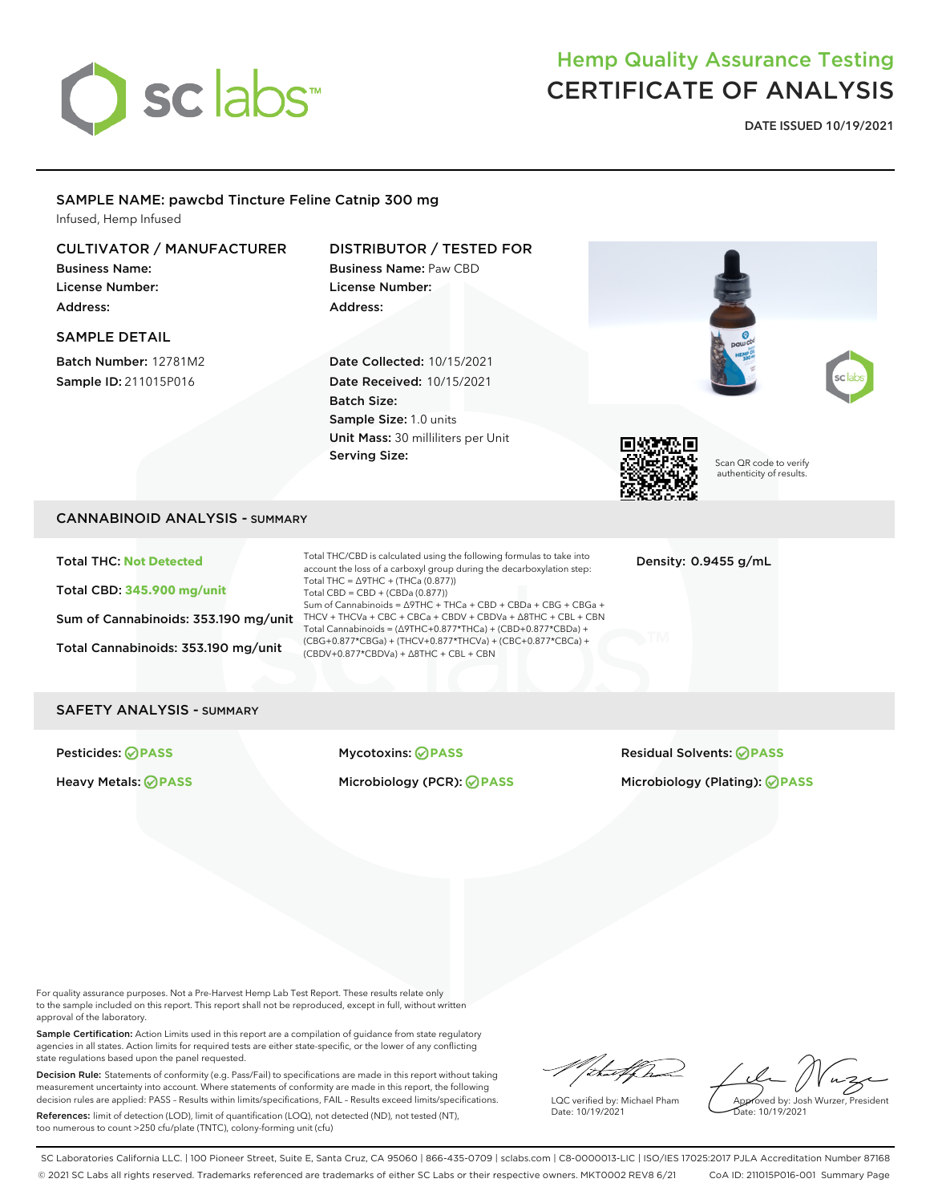

# Hemp Quality Assurance Testing CERTIFICATE OF ANALYSIS

**DATE ISSUED 10/19/2021**

# SAMPLE NAME: pawcbd Tincture Feline Catnip 300 mg

Infused, Hemp Infused

# CULTIVATOR / MANUFACTURER

Business Name: License Number: Address:

#### SAMPLE DETAIL

Batch Number: 12781M2 Sample ID: 211015P016

# DISTRIBUTOR / TESTED FOR Business Name: Paw CBD

License Number: Address:

Date Collected: 10/15/2021 Date Received: 10/15/2021 Batch Size: Sample Size: 1.0 units Unit Mass: 30 milliliters per Unit Serving Size:



Scan QR code to verify authenticity of results.

### CANNABINOID ANALYSIS - SUMMARY

Total THC: **Not Detected** Total CBD: **345.900 mg/unit** Sum of Cannabinoids: 353.190 mg/unit Total Cannabinoids: 353.190 mg/unit

Total THC/CBD is calculated using the following formulas to take into account the loss of a carboxyl group during the decarboxylation step: Total THC = ∆9THC + (THCa (0.877)) Total CBD = CBD + (CBDa (0.877)) Sum of Cannabinoids = ∆9THC + THCa + CBD + CBDa + CBG + CBGa + THCV + THCVa + CBC + CBCa + CBDV + CBDVa + ∆8THC + CBL + CBN Total Cannabinoids = (∆9THC+0.877\*THCa) + (CBD+0.877\*CBDa) + (CBG+0.877\*CBGa) + (THCV+0.877\*THCVa) + (CBC+0.877\*CBCa) + (CBDV+0.877\*CBDVa) + ∆8THC + CBL + CBN

Density: 0.9455 g/mL

### SAFETY ANALYSIS - SUMMARY

Pesticides: **PASS** Mycotoxins: **PASS** Residual Solvents: **PASS** Heavy Metals: **PASS** Microbiology (PCR): **PASS** Microbiology (Plating): **PASS**

For quality assurance purposes. Not a Pre-Harvest Hemp Lab Test Report. These results relate only to the sample included on this report. This report shall not be reproduced, except in full, without written approval of the laboratory.

Sample Certification: Action Limits used in this report are a compilation of guidance from state regulatory agencies in all states. Action limits for required tests are either state-specific, or the lower of any conflicting state regulations based upon the panel requested.

Decision Rule: Statements of conformity (e.g. Pass/Fail) to specifications are made in this report without taking measurement uncertainty into account. Where statements of conformity are made in this report, the following decision rules are applied: PASS – Results within limits/specifications, FAIL – Results exceed limits/specifications.

References: limit of detection (LOD), limit of quantification (LOQ), not detected (ND), not tested (NT), too numerous to count >250 cfu/plate (TNTC), colony-forming unit (cfu)

/chaff had

LQC verified by: Michael Pham Date: 10/19/2021

Approved by: Josh Wurzer, President Date: 10/19/2021

SC Laboratories California LLC. | 100 Pioneer Street, Suite E, Santa Cruz, CA 95060 | 866-435-0709 | sclabs.com | C8-0000013-LIC | ISO/IES 17025:2017 PJLA Accreditation Number 87168 © 2021 SC Labs all rights reserved. Trademarks referenced are trademarks of either SC Labs or their respective owners. MKT0002 REV8 6/21 CoA ID: 211015P016-001 Summary Page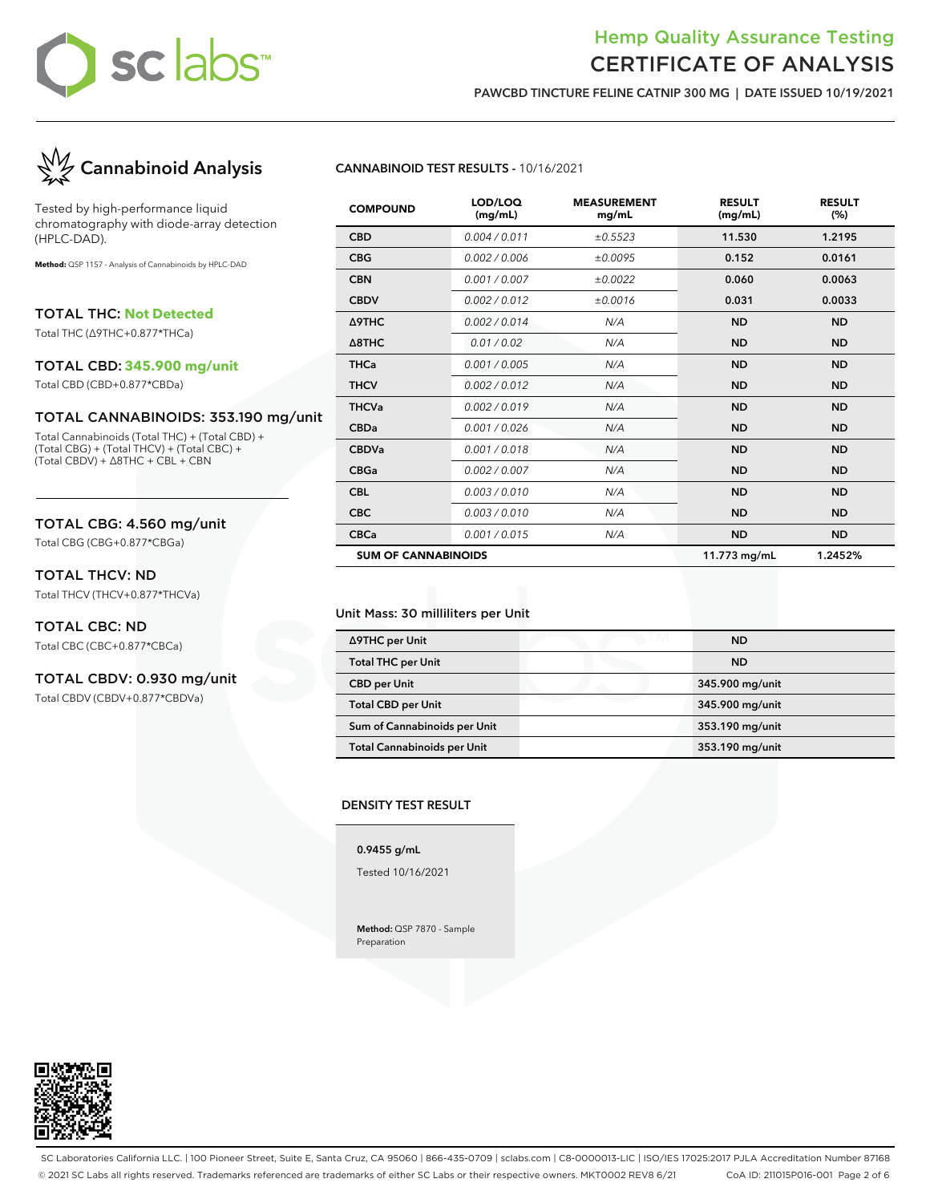# sclabs

# Hemp Quality Assurance Testing CERTIFICATE OF ANALYSIS

**PAWCBD TINCTURE FELINE CATNIP 300 MG | DATE ISSUED 10/19/2021**



Tested by high-performance liquid chromatography with diode-array detection (HPLC-DAD).

**Method:** QSP 1157 - Analysis of Cannabinoids by HPLC-DAD

TOTAL THC: **Not Detected**

Total THC (∆9THC+0.877\*THCa)

### TOTAL CBD: **345.900 mg/unit**

Total CBD (CBD+0.877\*CBDa)

### TOTAL CANNABINOIDS: 353.190 mg/unit

Total Cannabinoids (Total THC) + (Total CBD) + (Total CBG) + (Total THCV) + (Total CBC) + (Total CBDV) + ∆8THC + CBL + CBN

### TOTAL CBG: 4.560 mg/unit

Total CBG (CBG+0.877\*CBGa)

### TOTAL THCV: ND

Total THCV (THCV+0.877\*THCVa)

### TOTAL CBC: ND

Total CBC (CBC+0.877\*CBCa)

# TOTAL CBDV: 0.930 mg/unit

Total CBDV (CBDV+0.877\*CBDVa)

### **CANNABINOID TEST RESULTS -** 10/16/2021

| <b>COMPOUND</b>            | LOD/LOQ<br>(mg/mL) | <b>MEASUREMENT</b><br>mg/mL | <b>RESULT</b><br>(mg/mL) | <b>RESULT</b><br>(%) |
|----------------------------|--------------------|-----------------------------|--------------------------|----------------------|
| <b>CBD</b>                 | 0.004 / 0.011      | ±0.5523                     | 11.530                   | 1.2195               |
| <b>CBG</b>                 | 0.002 / 0.006      | ±0.0095                     | 0.152                    | 0.0161               |
| <b>CBN</b>                 | 0.001 / 0.007      | ±0.0022                     | 0.060                    | 0.0063               |
| <b>CBDV</b>                | 0.002/0.012        | ±0.0016                     | 0.031                    | 0.0033               |
| Δ9THC                      | 0.002/0.014        | N/A                         | <b>ND</b>                | <b>ND</b>            |
| $\triangle$ 8THC           | 0.01 / 0.02        | N/A                         | <b>ND</b>                | <b>ND</b>            |
| <b>THCa</b>                | 0.001 / 0.005      | N/A                         | <b>ND</b>                | <b>ND</b>            |
| <b>THCV</b>                | 0.002/0.012        | N/A                         | <b>ND</b>                | <b>ND</b>            |
| <b>THCVa</b>               | 0.002 / 0.019      | N/A                         | <b>ND</b>                | <b>ND</b>            |
| <b>CBDa</b>                | 0.001 / 0.026      | N/A                         | <b>ND</b>                | <b>ND</b>            |
| <b>CBDVa</b>               | 0.001 / 0.018      | N/A                         | <b>ND</b>                | <b>ND</b>            |
| <b>CBGa</b>                | 0.002 / 0.007      | N/A                         | <b>ND</b>                | <b>ND</b>            |
| <b>CBL</b>                 | 0.003/0.010        | N/A                         | <b>ND</b>                | <b>ND</b>            |
| <b>CBC</b>                 | 0.003/0.010        | N/A                         | <b>ND</b>                | <b>ND</b>            |
| <b>CBCa</b>                | 0.001 / 0.015      | N/A                         | <b>ND</b>                | <b>ND</b>            |
| <b>SUM OF CANNABINOIDS</b> |                    |                             | 11.773 mg/mL             | 1.2452%              |

### Unit Mass: 30 milliliters per Unit

| ∆9THC per Unit                     | <b>ND</b>       |
|------------------------------------|-----------------|
| <b>Total THC per Unit</b>          | <b>ND</b>       |
| <b>CBD per Unit</b>                | 345.900 mg/unit |
| <b>Total CBD per Unit</b>          | 345.900 mg/unit |
| Sum of Cannabinoids per Unit       | 353.190 mg/unit |
| <b>Total Cannabinoids per Unit</b> | 353.190 mg/unit |

#### **DENSITY TEST RESULT**

### **0.9455 g/mL**

Tested 10/16/2021

**Method:** QSP 7870 - Sample Preparation

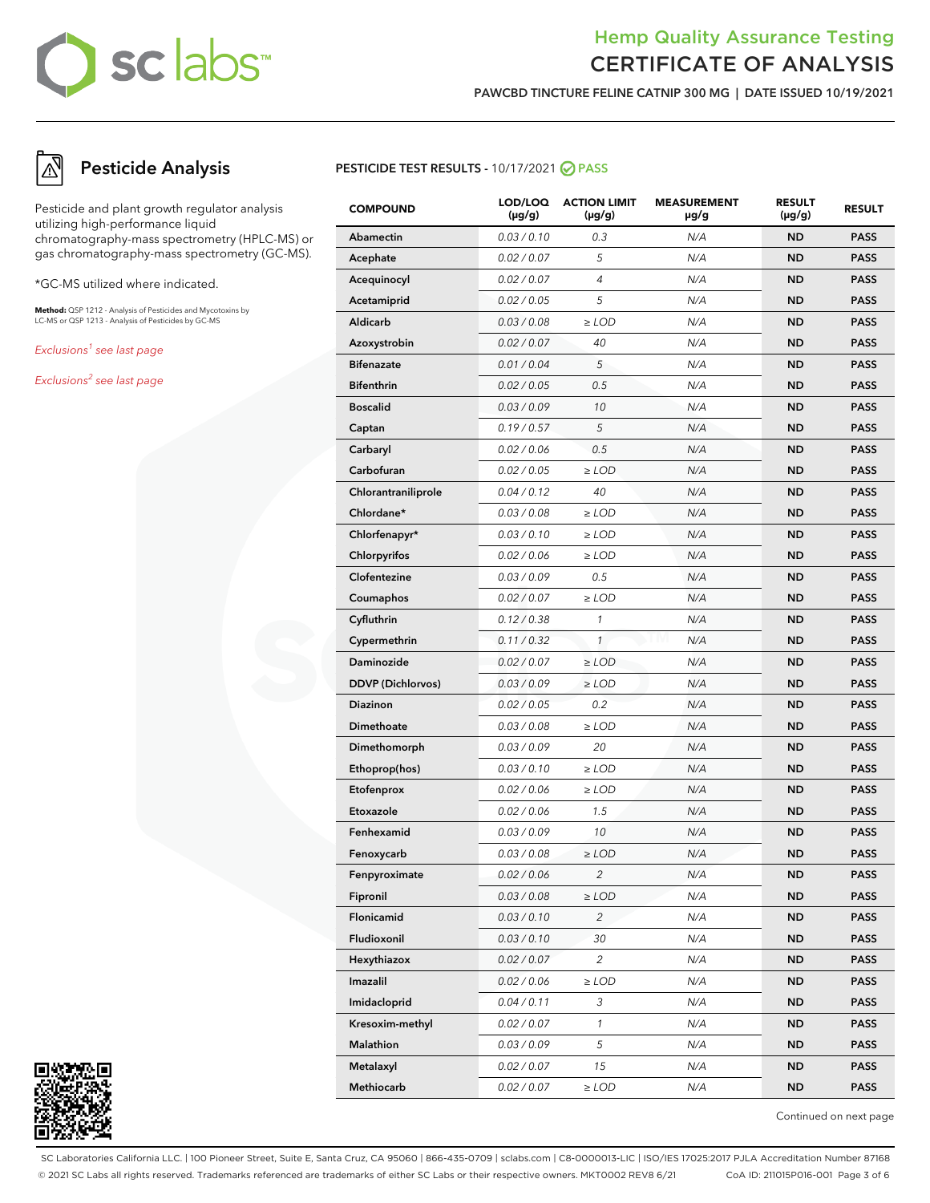# sc labs™

# Hemp Quality Assurance Testing CERTIFICATE OF ANALYSIS

**PAWCBD TINCTURE FELINE CATNIP 300 MG | DATE ISSUED 10/19/2021**

# **Pesticide Analysis**

Pesticide and plant growth regulator analysis utilizing high-performance liquid chromatography-mass spectrometry (HPLC-MS) or gas chromatography-mass spectrometry (GC-MS).

\*GC-MS utilized where indicated.

**Method:** QSP 1212 - Analysis of Pesticides and Mycotoxins by LC-MS or QSP 1213 - Analysis of Pesticides by GC-MS

Exclusions<sup>1</sup> see last page

Exclusions<sup>2</sup> see last page



| <b>COMPOUND</b>          | LOD/LOQ<br>$(\mu g/g)$ | <b>ACTION LIMIT</b><br>$(\mu g/g)$ | <b>MEASUREMENT</b><br>µg/g | <b>RESULT</b><br>$(\mu g/g)$ | <b>RESULT</b> |
|--------------------------|------------------------|------------------------------------|----------------------------|------------------------------|---------------|
| Abamectin                | 0.03 / 0.10            | 0.3                                | N/A                        | <b>ND</b>                    | <b>PASS</b>   |
| Acephate                 | 0.02 / 0.07            | 5                                  | N/A                        | <b>ND</b>                    | <b>PASS</b>   |
| Acequinocyl              | 0.02 / 0.07            | 4                                  | N/A                        | <b>ND</b>                    | <b>PASS</b>   |
| Acetamiprid              | 0.02 / 0.05            | 5                                  | N/A                        | <b>ND</b>                    | <b>PASS</b>   |
| Aldicarb                 | 0.03 / 0.08            | $\ge$ LOD                          | N/A                        | <b>ND</b>                    | <b>PASS</b>   |
| Azoxystrobin             | 0.02 / 0.07            | 40                                 | N/A                        | <b>ND</b>                    | <b>PASS</b>   |
| <b>Bifenazate</b>        | 0.01 / 0.04            | 5                                  | N/A                        | <b>ND</b>                    | <b>PASS</b>   |
| <b>Bifenthrin</b>        | 0.02 / 0.05            | 0.5                                | N/A                        | <b>ND</b>                    | <b>PASS</b>   |
| <b>Boscalid</b>          | 0.03 / 0.09            | 10                                 | N/A                        | <b>ND</b>                    | <b>PASS</b>   |
| Captan                   | 0.19/0.57              | 5                                  | N/A                        | <b>ND</b>                    | <b>PASS</b>   |
| Carbaryl                 | 0.02 / 0.06            | 0.5                                | N/A                        | <b>ND</b>                    | <b>PASS</b>   |
| Carbofuran               | 0.02 / 0.05            | $\ge$ LOD                          | N/A                        | <b>ND</b>                    | <b>PASS</b>   |
| Chlorantraniliprole      | 0.04 / 0.12            | 40                                 | N/A                        | <b>ND</b>                    | <b>PASS</b>   |
| Chlordane*               | 0.03 / 0.08            | $\ge$ LOD                          | N/A                        | <b>ND</b>                    | <b>PASS</b>   |
| Chlorfenapyr*            | 0.03 / 0.10            | $\ge$ LOD                          | N/A                        | <b>ND</b>                    | <b>PASS</b>   |
| Chlorpyrifos             | 0.02 / 0.06            | $\ge$ LOD                          | N/A                        | <b>ND</b>                    | <b>PASS</b>   |
| Clofentezine             | 0.03 / 0.09            | 0.5                                | N/A                        | <b>ND</b>                    | <b>PASS</b>   |
| Coumaphos                | 0.02 / 0.07            | $\ge$ LOD                          | N/A                        | <b>ND</b>                    | <b>PASS</b>   |
| Cyfluthrin               | 0.12 / 0.38            | $\mathbf{1}$                       | N/A                        | <b>ND</b>                    | <b>PASS</b>   |
| Cypermethrin             | 0.11 / 0.32            | $\mathbf{1}$                       | N/A                        | <b>ND</b>                    | <b>PASS</b>   |
| <b>Daminozide</b>        | 0.02 / 0.07            | $\geq$ LOD                         | N/A                        | <b>ND</b>                    | <b>PASS</b>   |
| <b>DDVP</b> (Dichlorvos) | 0.03 / 0.09            | $\ge$ LOD                          | N/A                        | <b>ND</b>                    | <b>PASS</b>   |
| <b>Diazinon</b>          | 0.02 / 0.05            | 0.2                                | N/A                        | <b>ND</b>                    | <b>PASS</b>   |
| Dimethoate               | 0.03 / 0.08            | $\ge$ LOD                          | N/A                        | <b>ND</b>                    | <b>PASS</b>   |
| Dimethomorph             | 0.03 / 0.09            | 20                                 | N/A                        | <b>ND</b>                    | <b>PASS</b>   |
| Ethoprop(hos)            | 0.03 / 0.10            | $\ge$ LOD                          | N/A                        | <b>ND</b>                    | <b>PASS</b>   |
| Etofenprox               | 0.02 / 0.06            | $\ge$ LOD                          | N/A                        | <b>ND</b>                    | <b>PASS</b>   |
| Etoxazole                | 0.02 / 0.06            | 1.5                                | N/A                        | <b>ND</b>                    | <b>PASS</b>   |
| Fenhexamid               | 0.03 / 0.09            | 10                                 | N/A                        | <b>ND</b>                    | <b>PASS</b>   |
| Fenoxycarb               | 0.03 / 0.08            | $\ge$ LOD                          | N/A                        | <b>ND</b>                    | <b>PASS</b>   |
| Fenpyroximate            | 0.02 / 0.06            | $\overline{c}$                     | N/A                        | ND.                          | PASS          |
| Fipronil                 | 0.03 / 0.08            | $\ge$ LOD                          | N/A                        | ND                           | <b>PASS</b>   |
| Flonicamid               | 0.03 / 0.10            | $\overline{c}$                     | N/A                        | <b>ND</b>                    | <b>PASS</b>   |
| Fludioxonil              | 0.03 / 0.10            | 30                                 | N/A                        | <b>ND</b>                    | <b>PASS</b>   |
| Hexythiazox              | 0.02 / 0.07            | 2                                  | N/A                        | <b>ND</b>                    | <b>PASS</b>   |
| Imazalil                 | 0.02 / 0.06            | $\ge$ LOD                          | N/A                        | <b>ND</b>                    | <b>PASS</b>   |
| Imidacloprid             | 0.04 / 0.11            | 3                                  | N/A                        | <b>ND</b>                    | <b>PASS</b>   |
| Kresoxim-methyl          | 0.02 / 0.07            | $\mathcal{I}$                      | N/A                        | <b>ND</b>                    | <b>PASS</b>   |
| Malathion                | 0.03 / 0.09            | 5                                  | N/A                        | <b>ND</b>                    | <b>PASS</b>   |
| Metalaxyl                | 0.02 / 0.07            | 15                                 | N/A                        | ND                           | <b>PASS</b>   |
| Methiocarb               | 0.02 / 0.07            | $\ge$ LOD                          | N/A                        | <b>ND</b>                    | <b>PASS</b>   |



Continued on next page

SC Laboratories California LLC. | 100 Pioneer Street, Suite E, Santa Cruz, CA 95060 | 866-435-0709 | sclabs.com | C8-0000013-LIC | ISO/IES 17025:2017 PJLA Accreditation Number 87168 © 2021 SC Labs all rights reserved. Trademarks referenced are trademarks of either SC Labs or their respective owners. MKT0002 REV8 6/21 CoA ID: 211015P016-001 Page 3 of 6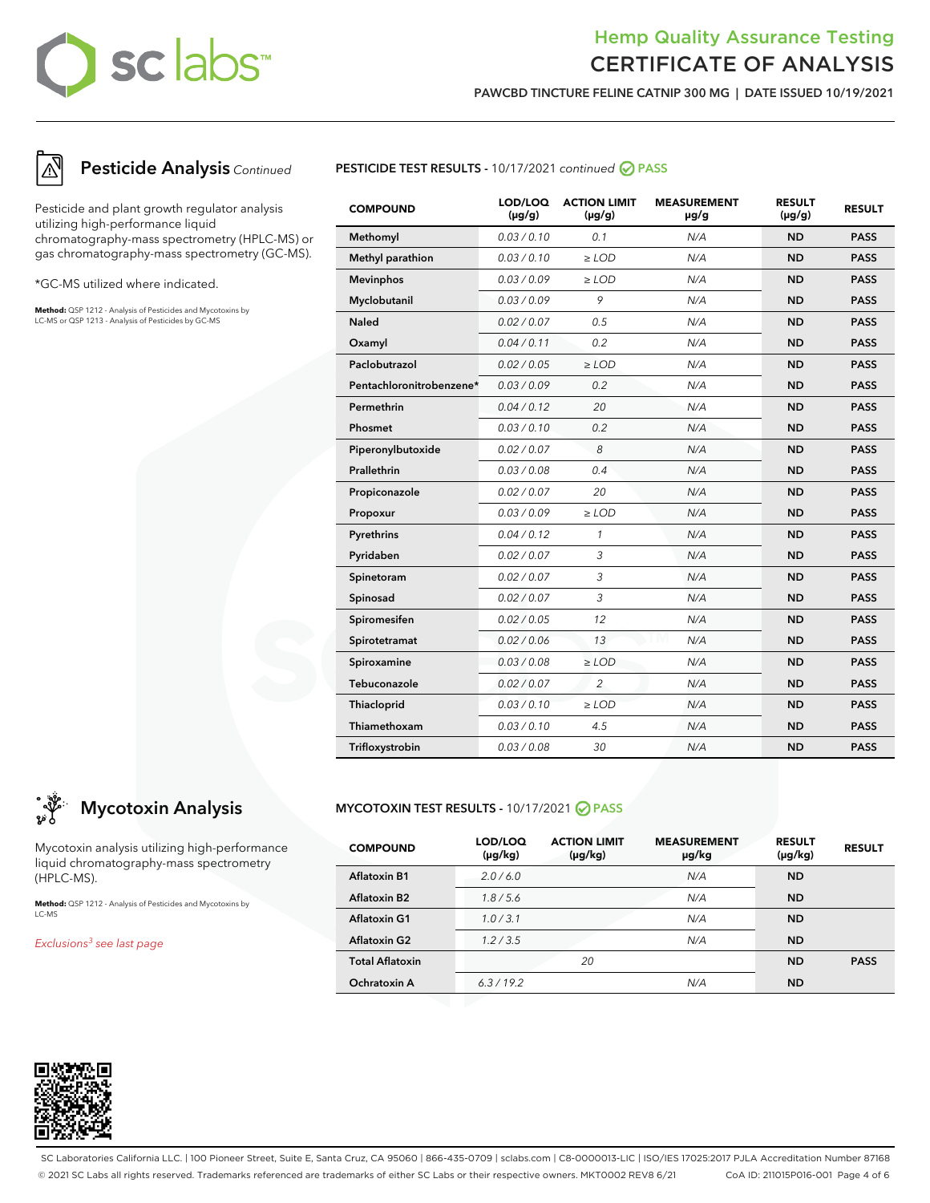# sclabs™

# Hemp Quality Assurance Testing CERTIFICATE OF ANALYSIS

**PAWCBD TINCTURE FELINE CATNIP 300 MG | DATE ISSUED 10/19/2021**



# **Pesticide Analysis** Continued

Pesticide and plant growth regulator analysis utilizing high-performance liquid chromatography-mass spectrometry (HPLC-MS) or gas chromatography-mass spectrometry (GC-MS).

\*GC-MS utilized where indicated.

**Method:** QSP 1212 - Analysis of Pesticides and Mycotoxins by LC-MS or QSP 1213 - Analysis of Pesticides by GC-MS



| <b>COMPOUND</b>          | LOD/LOQ<br>$(\mu g/g)$ | <b>ACTION LIMIT</b><br>$(\mu q/q)$ | <b>MEASUREMENT</b><br>µg/g | <b>RESULT</b><br>$(\mu g/g)$ | <b>RESULT</b> |
|--------------------------|------------------------|------------------------------------|----------------------------|------------------------------|---------------|
| Methomyl                 | 0.03/0.10              | 0.1                                | N/A                        | <b>ND</b>                    | <b>PASS</b>   |
| Methyl parathion         | 0.03 / 0.10            | $\ge$ LOD                          | N/A                        | <b>ND</b>                    | <b>PASS</b>   |
| <b>Mevinphos</b>         | 0.03 / 0.09            | $\ge$ LOD                          | N/A                        | <b>ND</b>                    | <b>PASS</b>   |
| Myclobutanil             | 0.03 / 0.09            | 9                                  | N/A                        | <b>ND</b>                    | <b>PASS</b>   |
| <b>Naled</b>             | 0.02 / 0.07            | 0.5                                | N/A                        | <b>ND</b>                    | <b>PASS</b>   |
| Oxamyl                   | 0.04 / 0.11            | 0.2                                | N/A                        | <b>ND</b>                    | <b>PASS</b>   |
| Paclobutrazol            | 0.02 / 0.05            | $\ge$ LOD                          | N/A                        | <b>ND</b>                    | <b>PASS</b>   |
| Pentachloronitrobenzene* | 0.03 / 0.09            | 0.2                                | N/A                        | <b>ND</b>                    | <b>PASS</b>   |
| Permethrin               | 0.04 / 0.12            | 20                                 | N/A                        | <b>ND</b>                    | <b>PASS</b>   |
| Phosmet                  | 0.03/0.10              | 0.2                                | N/A                        | <b>ND</b>                    | <b>PASS</b>   |
| Piperonylbutoxide        | 0.02 / 0.07            | 8                                  | N/A                        | <b>ND</b>                    | <b>PASS</b>   |
| Prallethrin              | 0.03 / 0.08            | 0.4                                | N/A                        | <b>ND</b>                    | <b>PASS</b>   |
| Propiconazole            | 0.02 / 0.07            | 20                                 | N/A                        | <b>ND</b>                    | <b>PASS</b>   |
| Propoxur                 | 0.03 / 0.09            | $\geq$ LOD                         | N/A                        | <b>ND</b>                    | <b>PASS</b>   |
| Pyrethrins               | 0.04 / 0.12            | $\mathcal{I}$                      | N/A                        | <b>ND</b>                    | <b>PASS</b>   |
| Pyridaben                | 0.02 / 0.07            | 3                                  | N/A                        | <b>ND</b>                    | <b>PASS</b>   |
| Spinetoram               | 0.02 / 0.07            | 3                                  | N/A                        | <b>ND</b>                    | <b>PASS</b>   |
| Spinosad                 | 0.02 / 0.07            | 3                                  | N/A                        | <b>ND</b>                    | <b>PASS</b>   |
| Spiromesifen             | 0.02 / 0.05            | 12                                 | N/A                        | <b>ND</b>                    | <b>PASS</b>   |
| Spirotetramat            | 0.02 / 0.06            | 13                                 | N/A                        | <b>ND</b>                    | <b>PASS</b>   |
| Spiroxamine              | 0.03 / 0.08            | $\ge$ LOD                          | N/A                        | <b>ND</b>                    | <b>PASS</b>   |
| Tebuconazole             | 0.02 / 0.07            | 2                                  | N/A                        | <b>ND</b>                    | <b>PASS</b>   |
| Thiacloprid              | 0.03 / 0.10            | $\ge$ LOD                          | N/A                        | <b>ND</b>                    | <b>PASS</b>   |
| Thiamethoxam             | 0.03/0.10              | 4.5                                | N/A                        | <b>ND</b>                    | <b>PASS</b>   |
| Trifloxystrobin          | 0.03 / 0.08            | 30                                 | N/A                        | <b>ND</b>                    | <b>PASS</b>   |

# **Mycotoxin Analysis**

Mycotoxin analysis utilizing high-performance liquid chromatography-mass spectrometry (HPLC-MS).

**Method:** QSP 1212 - Analysis of Pesticides and Mycotoxins by LC-MS

Exclusions<sup>3</sup> see last page

# **MYCOTOXIN TEST RESULTS -** 10/17/2021 **PASS**

| <b>COMPOUND</b>        | LOD/LOQ<br>(µg/kg) | <b>ACTION LIMIT</b><br>$(\mu g/kg)$ | <b>MEASUREMENT</b><br>µg/kg | <b>RESULT</b><br>$(\mu g/kg)$ | <b>RESULT</b> |
|------------------------|--------------------|-------------------------------------|-----------------------------|-------------------------------|---------------|
| <b>Aflatoxin B1</b>    | 2.0/6.0            |                                     | N/A                         | <b>ND</b>                     |               |
| <b>Aflatoxin B2</b>    | 1.8/5.6            |                                     | N/A                         | <b>ND</b>                     |               |
| <b>Aflatoxin G1</b>    | 1.0/3.1            |                                     | N/A                         | <b>ND</b>                     |               |
| <b>Aflatoxin G2</b>    | 1.2 / 3.5          |                                     | N/A                         | <b>ND</b>                     |               |
| <b>Total Aflatoxin</b> |                    | 20                                  |                             | <b>ND</b>                     | <b>PASS</b>   |
| Ochratoxin A           | 6.3/19.2           |                                     | N/A                         | <b>ND</b>                     |               |



SC Laboratories California LLC. | 100 Pioneer Street, Suite E, Santa Cruz, CA 95060 | 866-435-0709 | sclabs.com | C8-0000013-LIC | ISO/IES 17025:2017 PJLA Accreditation Number 87168 © 2021 SC Labs all rights reserved. Trademarks referenced are trademarks of either SC Labs or their respective owners. MKT0002 REV8 6/21 CoA ID: 211015P016-001 Page 4 of 6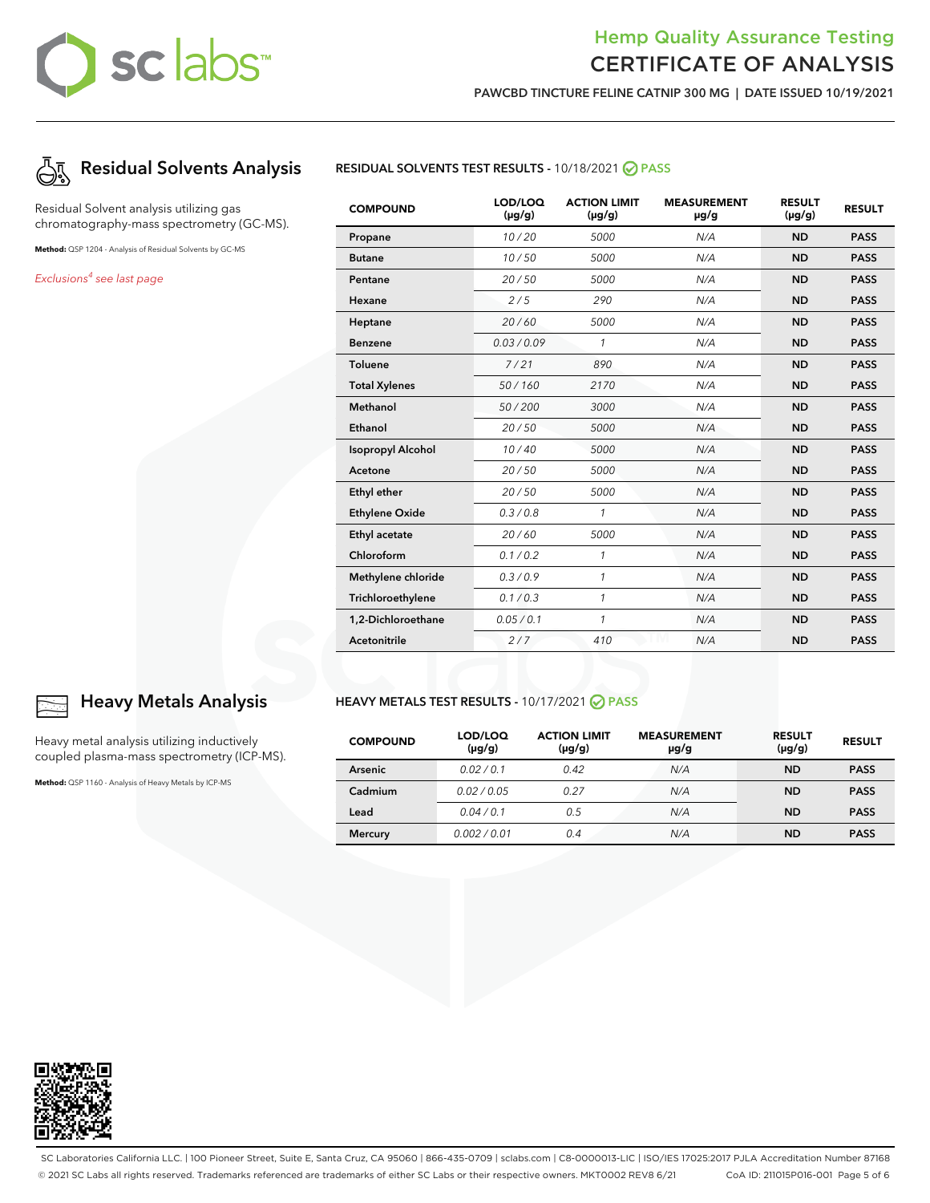# sclabs™

# Hemp Quality Assurance Testing CERTIFICATE OF ANALYSIS

**PAWCBD TINCTURE FELINE CATNIP 300 MG | DATE ISSUED 10/19/2021**



Residual Solvent analysis utilizing gas chromatography-mass spectrometry (GC-MS).

**Method:** QSP 1204 - Analysis of Residual Solvents by GC-MS

Exclusions<sup>4</sup> see last page



| <b>COMPOUND</b>          | LOD/LOQ<br>$(\mu g/g)$ | <b>ACTION LIMIT</b><br>$(\mu g/g)$ | <b>MEASUREMENT</b><br>$\mu$ g/g | <b>RESULT</b><br>$(\mu g/g)$ | <b>RESULT</b> |
|--------------------------|------------------------|------------------------------------|---------------------------------|------------------------------|---------------|
| Propane                  | 10/20                  | 5000                               | N/A                             | <b>ND</b>                    | <b>PASS</b>   |
| <b>Butane</b>            | 10/50                  | 5000                               | N/A                             | <b>ND</b>                    | <b>PASS</b>   |
| Pentane                  | 20/50                  | 5000                               | N/A                             | <b>ND</b>                    | <b>PASS</b>   |
| Hexane                   | 2/5                    | 290                                | N/A                             | <b>ND</b>                    | <b>PASS</b>   |
| Heptane                  | 20/60                  | 5000                               | N/A                             | <b>ND</b>                    | <b>PASS</b>   |
| <b>Benzene</b>           | 0.03/0.09              | $\mathbf{1}$                       | N/A                             | <b>ND</b>                    | <b>PASS</b>   |
| Toluene                  | 7/21                   | 890                                | N/A                             | <b>ND</b>                    | <b>PASS</b>   |
| <b>Total Xylenes</b>     | 50/160                 | 2170                               | N/A                             | <b>ND</b>                    | <b>PASS</b>   |
| Methanol                 | 50/200                 | 3000                               | N/A                             | <b>ND</b>                    | <b>PASS</b>   |
| Ethanol                  | 20/50                  | 5000                               | N/A                             | <b>ND</b>                    | <b>PASS</b>   |
| <b>Isopropyl Alcohol</b> | 10/40                  | 5000                               | N/A                             | <b>ND</b>                    | <b>PASS</b>   |
| Acetone                  | 20/50                  | 5000                               | N/A                             | <b>ND</b>                    | <b>PASS</b>   |
| Ethyl ether              | 20/50                  | 5000                               | N/A                             | <b>ND</b>                    | <b>PASS</b>   |
| <b>Ethylene Oxide</b>    | 0.3 / 0.8              | $\mathbf{1}$                       | N/A                             | <b>ND</b>                    | <b>PASS</b>   |
| Ethyl acetate            | 20/60                  | 5000                               | N/A                             | <b>ND</b>                    | <b>PASS</b>   |
| Chloroform               | 0.1 / 0.2              | $\mathbf{1}$                       | N/A                             | <b>ND</b>                    | <b>PASS</b>   |
| Methylene chloride       | 0.3/0.9                | $\mathbf{1}$                       | N/A                             | <b>ND</b>                    | <b>PASS</b>   |
| Trichloroethylene        | 0.1 / 0.3              | $\mathbf{1}$                       | N/A                             | <b>ND</b>                    | <b>PASS</b>   |
| 1,2-Dichloroethane       | 0.05 / 0.1             | 1                                  | N/A                             | <b>ND</b>                    | <b>PASS</b>   |
| Acetonitrile             | 2/7                    | 410                                | N/A                             | <b>ND</b>                    | <b>PASS</b>   |

## **HEAVY METALS TEST RESULTS -** 10/17/2021 **PASS**

| <b>COMPOUND</b> | LOD/LOQ<br>$(\mu g/g)$ | <b>ACTION LIMIT</b><br>$(\mu g/g)$ | <b>MEASUREMENT</b><br>µg/g | <b>RESULT</b><br>$(\mu g/g)$ | <b>RESULT</b> |
|-----------------|------------------------|------------------------------------|----------------------------|------------------------------|---------------|
| Arsenic         | 0.02/0.1               | 0.42                               | N/A                        | <b>ND</b>                    | <b>PASS</b>   |
| Cadmium         | 0.02/0.05              | 0.27                               | N/A                        | <b>ND</b>                    | <b>PASS</b>   |
| Lead            | 0.04/0.1               | 0.5                                | N/A                        | <b>ND</b>                    | <b>PASS</b>   |
| <b>Mercury</b>  | 0.002/0.01             | 0.4                                | N/A                        | <b>ND</b>                    | <b>PASS</b>   |



# **Heavy Metals Analysis**

Heavy metal analysis utilizing inductively coupled plasma-mass spectrometry (ICP-MS).

**Method:** QSP 1160 - Analysis of Heavy Metals by ICP-MS



SC Laboratories California LLC. | 100 Pioneer Street, Suite E, Santa Cruz, CA 95060 | 866-435-0709 | sclabs.com | C8-0000013-LIC | ISO/IES 17025:2017 PJLA Accreditation Number 87168 © 2021 SC Labs all rights reserved. Trademarks referenced are trademarks of either SC Labs or their respective owners. MKT0002 REV8 6/21 CoA ID: 211015P016-001 Page 5 of 6